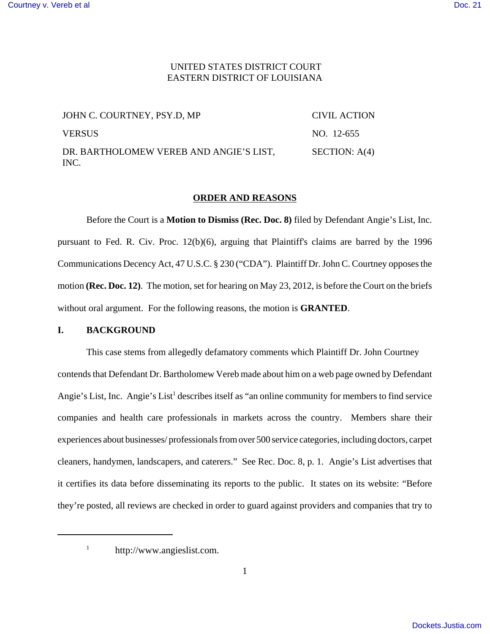## UNITED STATES DISTRICT COURT EASTERN DISTRICT OF LOUISIANA

| JOHN C. COURTNEY, PSY.D, MP                     | CIVIL ACTION    |
|-------------------------------------------------|-----------------|
| <b>VERSUS</b>                                   | NO. 12-655      |
| DR. BARTHOLOMEW VEREB AND ANGIE'S LIST,<br>INC. | SECTION: $A(4)$ |

## **ORDER AND REASONS**

Before the Court is a **Motion to Dismiss (Rec. Doc. 8)** filed by Defendant Angie's List, Inc. pursuant to Fed. R. Civ. Proc. 12(b)(6), arguing that Plaintiff's claims are barred by the 1996 Communications Decency Act, 47 U.S.C. § 230 ("CDA"). Plaintiff Dr. John C. Courtney opposes the motion **(Rec. Doc. 12)**. The motion, set for hearing on May 23, 2012, is before the Court on the briefs without oral argument. For the following reasons, the motion is **GRANTED**.

## **I. BACKGROUND**

This case stems from allegedly defamatory comments which Plaintiff Dr. John Courtney contends that Defendant Dr. Bartholomew Vereb made about him on a web page owned by Defendant Angie's List, Inc. Angie's List<sup>1</sup> describes itself as "an online community for members to find service companies and health care professionals in markets across the country. Members share their experiences about businesses/ professionals from over 500 service categories, including doctors, carpet cleaners, handymen, landscapers, and caterers." See Rec. Doc. 8, p. 1. Angie's List advertises that it certifies its data before disseminating its reports to the public. It states on its website: "Before they're posted, all reviews are checked in order to guard against providers and companies that try to

<sup>&</sup>lt;sup>1</sup> http://www.angieslist.com.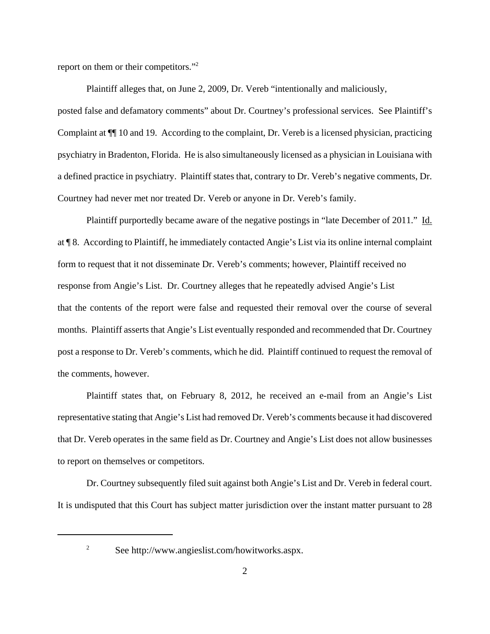report on them or their competitors."2

Plaintiff alleges that, on June 2, 2009, Dr. Vereb "intentionally and maliciously, posted false and defamatory comments" about Dr. Courtney's professional services. See Plaintiff's Complaint at ¶¶ 10 and 19. According to the complaint, Dr. Vereb is a licensed physician, practicing psychiatry in Bradenton, Florida. He is also simultaneously licensed as a physician in Louisiana with a defined practice in psychiatry. Plaintiff states that, contrary to Dr. Vereb's negative comments, Dr. Courtney had never met nor treated Dr. Vereb or anyone in Dr. Vereb's family.

Plaintiff purportedly became aware of the negative postings in "late December of 2011." Id. at ¶ 8. According to Plaintiff, he immediately contacted Angie's List via its online internal complaint form to request that it not disseminate Dr. Vereb's comments; however, Plaintiff received no response from Angie's List. Dr. Courtney alleges that he repeatedly advised Angie's List that the contents of the report were false and requested their removal over the course of several months. Plaintiff asserts that Angie's List eventually responded and recommended that Dr. Courtney post a response to Dr. Vereb's comments, which he did. Plaintiff continued to request the removal of the comments, however.

Plaintiff states that, on February 8, 2012, he received an e-mail from an Angie's List representative stating that Angie's List had removed Dr. Vereb's comments because it had discovered that Dr. Vereb operates in the same field as Dr. Courtney and Angie's List does not allow businesses to report on themselves or competitors.

Dr. Courtney subsequently filed suit against both Angie's List and Dr. Vereb in federal court. It is undisputed that this Court has subject matter jurisdiction over the instant matter pursuant to 28

<sup>2</sup> See http://www.angieslist.com/howitworks.aspx.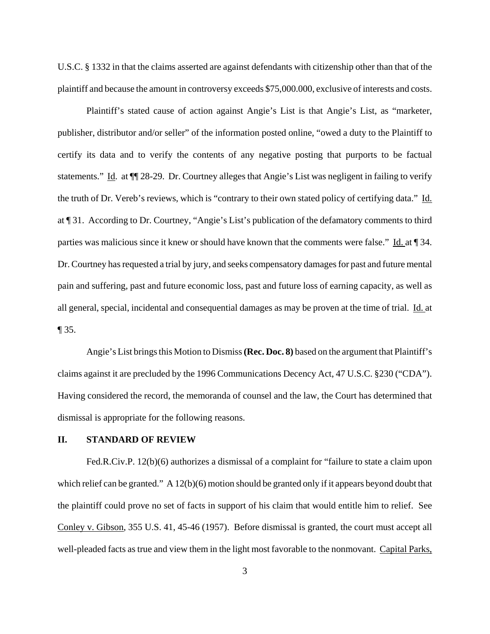U.S.C. § 1332 in that the claims asserted are against defendants with citizenship other than that of the plaintiff and because the amount in controversy exceeds \$75,000.000, exclusive of interests and costs.

Plaintiff's stated cause of action against Angie's List is that Angie's List, as "marketer, publisher, distributor and/or seller" of the information posted online, "owed a duty to the Plaintiff to certify its data and to verify the contents of any negative posting that purports to be factual statements." Id. at ¶¶ 28-29. Dr. Courtney alleges that Angie's List was negligent in failing to verify the truth of Dr. Vereb's reviews, which is "contrary to their own stated policy of certifying data." Id. at ¶ 31. According to Dr. Courtney, "Angie's List's publication of the defamatory comments to third parties was malicious since it knew or should have known that the comments were false." Id. at ¶ 34. Dr. Courtney has requested a trial by jury, and seeks compensatory damages for past and future mental pain and suffering, past and future economic loss, past and future loss of earning capacity, as well as all general, special, incidental and consequential damages as may be proven at the time of trial. Id. at ¶ 35.

Angie's List brings this Motion to Dismiss **(Rec. Doc. 8)** based on the argument that Plaintiff's claims against it are precluded by the 1996 Communications Decency Act, 47 U.S.C. §230 ("CDA"). Having considered the record, the memoranda of counsel and the law, the Court has determined that dismissal is appropriate for the following reasons.

## **II. STANDARD OF REVIEW**

Fed.R.Civ.P. 12(b)(6) authorizes a dismissal of a complaint for "failure to state a claim upon which relief can be granted." A 12(b)(6) motion should be granted only if it appears beyond doubt that the plaintiff could prove no set of facts in support of his claim that would entitle him to relief. See Conley v. Gibson, 355 U.S. 41, 45-46 (1957). Before dismissal is granted, the court must accept all well-pleaded facts as true and view them in the light most favorable to the nonmovant. Capital Parks,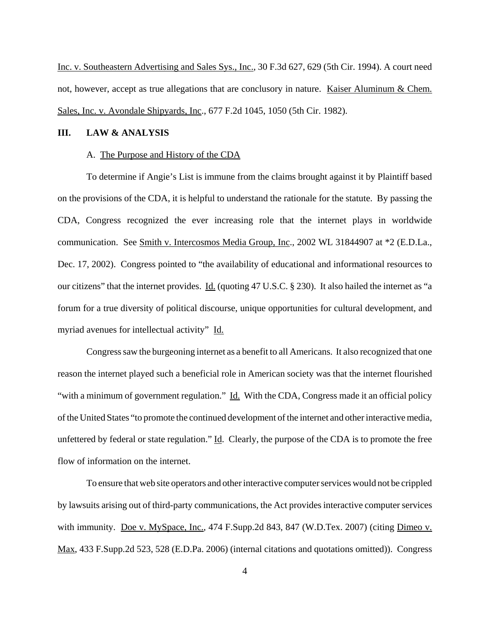Inc. v. Southeastern Advertising and Sales Sys., Inc., 30 F.3d 627, 629 (5th Cir. 1994). A court need not, however, accept as true allegations that are conclusory in nature. Kaiser Aluminum & Chem. Sales, Inc. v. Avondale Shipyards, Inc., 677 F.2d 1045, 1050 (5th Cir. 1982).

### **III. LAW & ANALYSIS**

#### A. The Purpose and History of the CDA

To determine if Angie's List is immune from the claims brought against it by Plaintiff based on the provisions of the CDA, it is helpful to understand the rationale for the statute. By passing the CDA, Congress recognized the ever increasing role that the internet plays in worldwide communication. See Smith v. Intercosmos Media Group, Inc., 2002 WL 31844907 at \*2 (E.D.La., Dec. 17, 2002). Congress pointed to "the availability of educational and informational resources to our citizens" that the internet provides. Id. (quoting 47 U.S.C. § 230). It also hailed the internet as "a forum for a true diversity of political discourse, unique opportunities for cultural development, and myriad avenues for intellectual activity" Id.

Congress saw the burgeoning internet as a benefit to all Americans. It also recognized that one reason the internet played such a beneficial role in American society was that the internet flourished "with a minimum of government regulation." Id. With the CDA, Congress made it an official policy of the United States "to promote the continued development of the internet and other interactive media, unfettered by federal or state regulation."  $\underline{Id}$ . Clearly, the purpose of the CDA is to promote the free flow of information on the internet.

To ensure that web site operators and other interactive computer services would not be crippled by lawsuits arising out of third-party communications, the Act provides interactive computer services with immunity. Doe v. MySpace, Inc., 474 F.Supp.2d 843, 847 (W.D.Tex. 2007) (citing Dimeo v. Max, 433 F.Supp.2d 523, 528 (E.D.Pa. 2006) (internal citations and quotations omitted)). Congress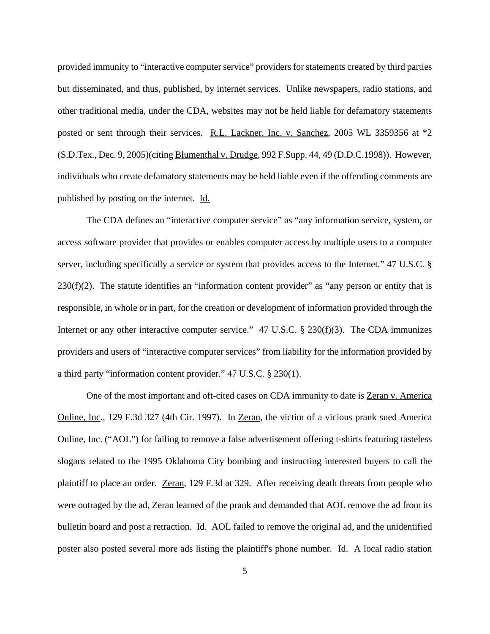provided immunity to "interactive computer service" providers for statements created by third parties but disseminated, and thus, published, by internet services. Unlike newspapers, radio stations, and other traditional media, under the CDA, websites may not be held liable for defamatory statements posted or sent through their services. R.L. Lackner, Inc. v. Sanchez, 2005 WL 3359356 at \*2 (S.D.Tex., Dec. 9, 2005)(citing Blumenthal v. Drudge, 992 F.Supp. 44, 49 (D.D.C.1998)). However, individuals who create defamatory statements may be held liable even if the offending comments are published by posting on the internet. Id.

The CDA defines an "interactive computer service" as "any information service, system, or access software provider that provides or enables computer access by multiple users to a computer server, including specifically a service or system that provides access to the Internet." 47 U.S.C. §  $230(f)(2)$ . The statute identifies an "information content provider" as "any person or entity that is responsible, in whole or in part, for the creation or development of information provided through the Internet or any other interactive computer service." 47 U.S.C. § 230(f)(3). The CDA immunizes providers and users of "interactive computer services" from liability for the information provided by a third party "information content provider." 47 U.S.C. § 230(1).

One of the most important and oft-cited cases on CDA immunity to date is Zeran v. America Online, Inc., 129 F.3d 327 (4th Cir. 1997). In Zeran, the victim of a vicious prank sued America Online, Inc. ("AOL") for failing to remove a false advertisement offering t-shirts featuring tasteless slogans related to the 1995 Oklahoma City bombing and instructing interested buyers to call the plaintiff to place an order. Zeran, 129 F.3d at 329. After receiving death threats from people who were outraged by the ad, Zeran learned of the prank and demanded that AOL remove the ad from its bulletin board and post a retraction. Id. AOL failed to remove the original ad, and the unidentified poster also posted several more ads listing the plaintiff's phone number. Id. A local radio station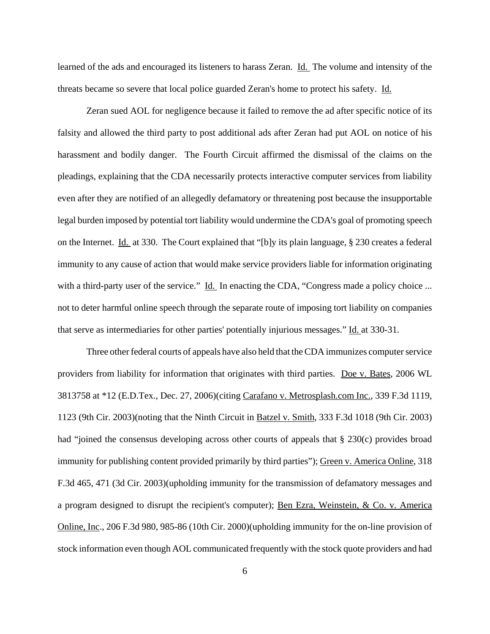learned of the ads and encouraged its listeners to harass Zeran. Id. The volume and intensity of the threats became so severe that local police guarded Zeran's home to protect his safety. Id.

Zeran sued AOL for negligence because it failed to remove the ad after specific notice of its falsity and allowed the third party to post additional ads after Zeran had put AOL on notice of his harassment and bodily danger. The Fourth Circuit affirmed the dismissal of the claims on the pleadings, explaining that the CDA necessarily protects interactive computer services from liability even after they are notified of an allegedly defamatory or threatening post because the insupportable legal burden imposed by potential tort liability would undermine the CDA's goal of promoting speech on the Internet. Id. at 330. The Court explained that "[b]y its plain language, § 230 creates a federal immunity to any cause of action that would make service providers liable for information originating with a third-party user of the service." Id. In enacting the CDA, "Congress made a policy choice ... not to deter harmful online speech through the separate route of imposing tort liability on companies that serve as intermediaries for other parties' potentially injurious messages." Id. at 330-31.

Three other federal courts of appeals have also held that the CDA immunizes computer service providers from liability for information that originates with third parties. Doe v. Bates, 2006 WL 3813758 at \*12 (E.D.Tex., Dec. 27, 2006)(citing Carafano v. Metrosplash.com Inc., 339 F.3d 1119, 1123 (9th Cir. 2003)(noting that the Ninth Circuit in Batzel v. Smith, 333 F.3d 1018 (9th Cir. 2003) had "joined the consensus developing across other courts of appeals that § 230(c) provides broad immunity for publishing content provided primarily by third parties"); Green v. America Online, 318 F.3d 465, 471 (3d Cir. 2003)(upholding immunity for the transmission of defamatory messages and a program designed to disrupt the recipient's computer); Ben Ezra, Weinstein, & Co. v. America Online, Inc., 206 F.3d 980, 985-86 (10th Cir. 2000)(upholding immunity for the on-line provision of stock information even though AOL communicated frequently with the stock quote providers and had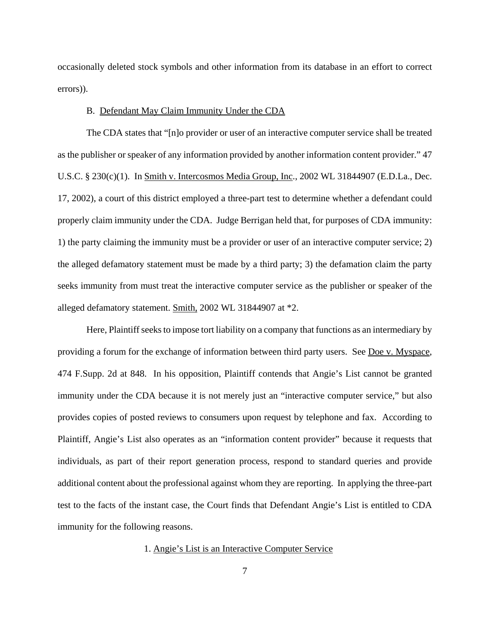occasionally deleted stock symbols and other information from its database in an effort to correct errors)).

## B. Defendant May Claim Immunity Under the CDA

The CDA states that "[n]o provider or user of an interactive computer service shall be treated as the publisher or speaker of any information provided by another information content provider." 47 U.S.C. § 230(c)(1). In Smith v. Intercosmos Media Group, Inc., 2002 WL 31844907 (E.D.La., Dec. 17, 2002), a court of this district employed a three-part test to determine whether a defendant could properly claim immunity under the CDA. Judge Berrigan held that, for purposes of CDA immunity: 1) the party claiming the immunity must be a provider or user of an interactive computer service; 2) the alleged defamatory statement must be made by a third party; 3) the defamation claim the party seeks immunity from must treat the interactive computer service as the publisher or speaker of the alleged defamatory statement. Smith, 2002 WL 31844907 at \*2.

Here, Plaintiff seeks to impose tort liability on a company that functions as an intermediary by providing a forum for the exchange of information between third party users. See Doe v. Myspace, 474 F.Supp. 2d at 848. In his opposition, Plaintiff contends that Angie's List cannot be granted immunity under the CDA because it is not merely just an "interactive computer service," but also provides copies of posted reviews to consumers upon request by telephone and fax. According to Plaintiff, Angie's List also operates as an "information content provider" because it requests that individuals, as part of their report generation process, respond to standard queries and provide additional content about the professional against whom they are reporting. In applying the three-part test to the facts of the instant case, the Court finds that Defendant Angie's List is entitled to CDA immunity for the following reasons.

1. Angie's List is an Interactive Computer Service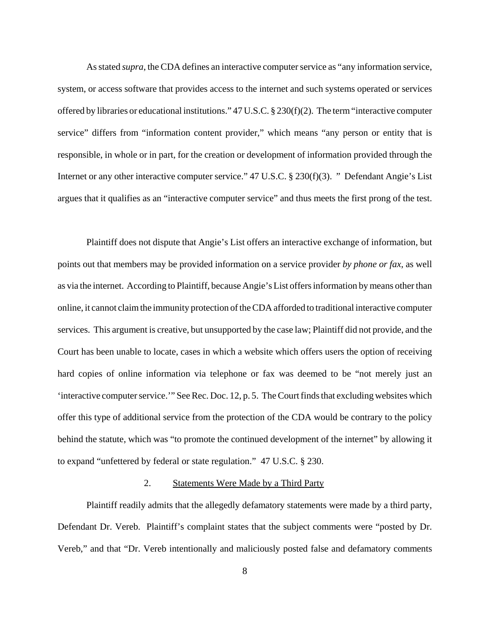As stated *supra*, the CDA defines an interactive computer service as "any information service, system, or access software that provides access to the internet and such systems operated or services offered by libraries or educational institutions."  $47 \text{ U.S.C.}$  §  $230 \text{ (f)} \text{ (2)}$ . The term "interactive computer service" differs from "information content provider," which means "any person or entity that is responsible, in whole or in part, for the creation or development of information provided through the Internet or any other interactive computer service." 47 U.S.C. § 230(f)(3). " Defendant Angie's List argues that it qualifies as an "interactive computer service" and thus meets the first prong of the test.

Plaintiff does not dispute that Angie's List offers an interactive exchange of information, but points out that members may be provided information on a service provider *by phone or fax*, as well as via the internet. According to Plaintiff, because Angie's List offers information by means other than online, it cannot claim the immunity protection of the CDA afforded to traditional interactive computer services. This argument is creative, but unsupported by the case law; Plaintiff did not provide, and the Court has been unable to locate, cases in which a website which offers users the option of receiving hard copies of online information via telephone or fax was deemed to be "not merely just an 'interactive computer service.'" See Rec. Doc. 12, p. 5. The Court finds that excluding websites which offer this type of additional service from the protection of the CDA would be contrary to the policy behind the statute, which was "to promote the continued development of the internet" by allowing it to expand "unfettered by federal or state regulation." 47 U.S.C. § 230.

## 2. Statements Were Made by a Third Party

Plaintiff readily admits that the allegedly defamatory statements were made by a third party, Defendant Dr. Vereb. Plaintiff's complaint states that the subject comments were "posted by Dr. Vereb," and that "Dr. Vereb intentionally and maliciously posted false and defamatory comments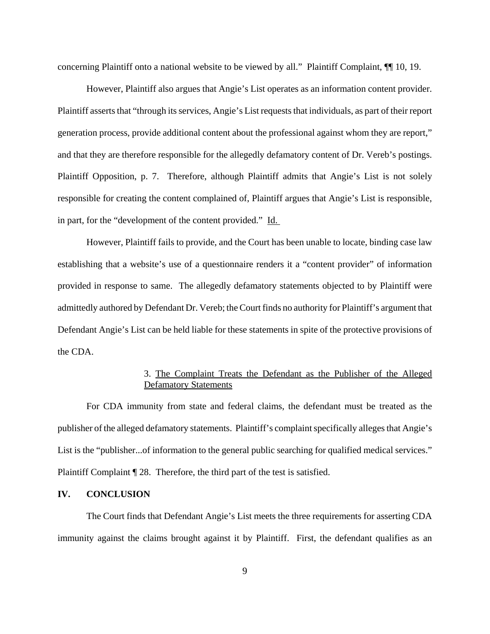concerning Plaintiff onto a national website to be viewed by all." Plaintiff Complaint, ¶¶ 10, 19.

However, Plaintiff also argues that Angie's List operates as an information content provider. Plaintiff asserts that "through its services, Angie's List requests that individuals, as part of their report generation process, provide additional content about the professional against whom they are report," and that they are therefore responsible for the allegedly defamatory content of Dr. Vereb's postings. Plaintiff Opposition, p. 7. Therefore, although Plaintiff admits that Angie's List is not solely responsible for creating the content complained of, Plaintiff argues that Angie's List is responsible, in part, for the "development of the content provided." Id.

However, Plaintiff fails to provide, and the Court has been unable to locate, binding case law establishing that a website's use of a questionnaire renders it a "content provider" of information provided in response to same. The allegedly defamatory statements objected to by Plaintiff were admittedly authored by Defendant Dr. Vereb; the Court finds no authority for Plaintiff's argument that Defendant Angie's List can be held liable for these statements in spite of the protective provisions of the CDA.

# 3. The Complaint Treats the Defendant as the Publisher of the Alleged Defamatory Statements

For CDA immunity from state and federal claims, the defendant must be treated as the publisher of the alleged defamatory statements. Plaintiff's complaint specifically alleges that Angie's List is the "publisher...of information to the general public searching for qualified medical services." Plaintiff Complaint ¶ 28. Therefore, the third part of the test is satisfied.

# **IV. CONCLUSION**

The Court finds that Defendant Angie's List meets the three requirements for asserting CDA immunity against the claims brought against it by Plaintiff. First, the defendant qualifies as an